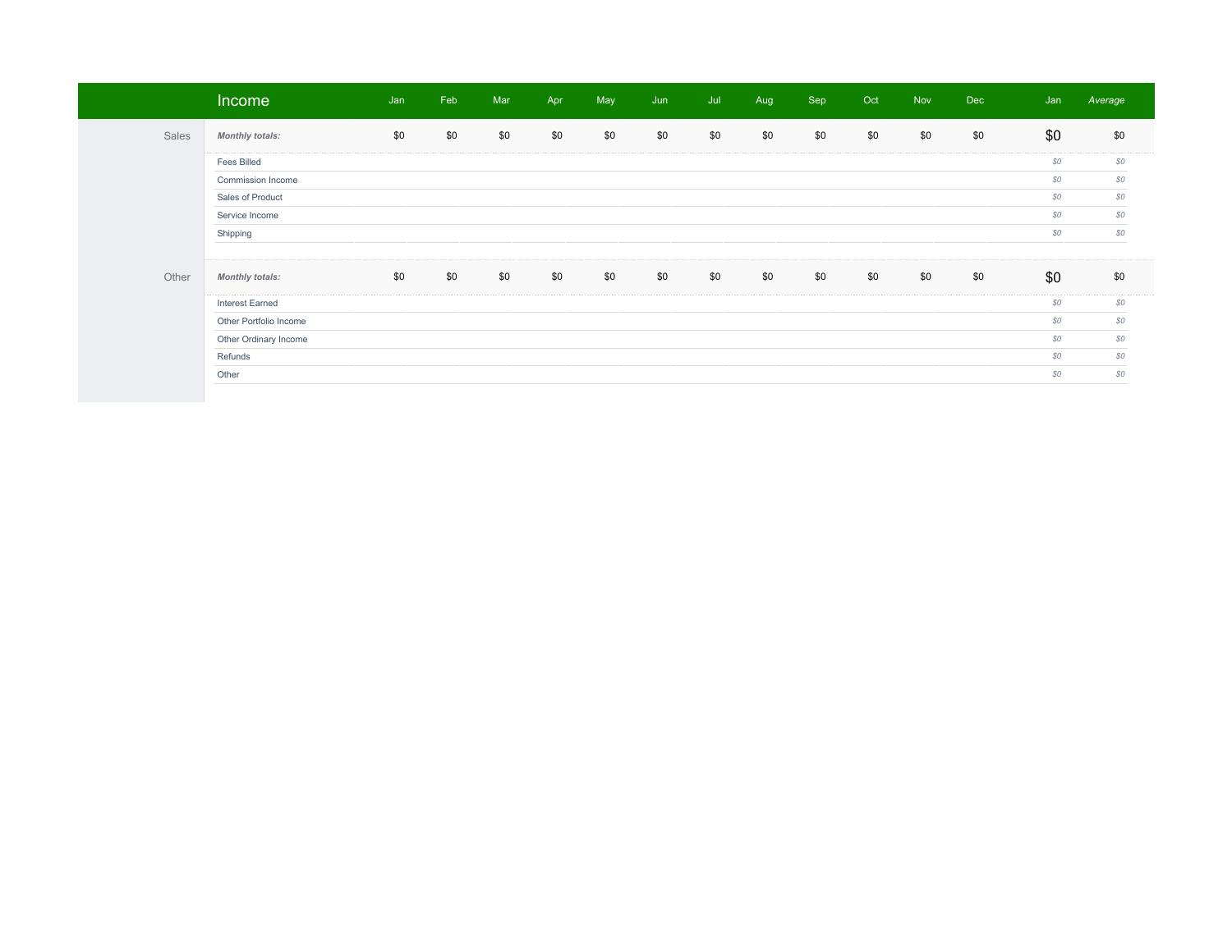|       | Income                 | Jan | Feb | Mar | Apr | May | Jun | Jul | Aug | Sep | Oct | <b>Nov</b> | <b>Dec</b> | Jan | Average |
|-------|------------------------|-----|-----|-----|-----|-----|-----|-----|-----|-----|-----|------------|------------|-----|---------|
| Sales | <b>Monthly totals:</b> | \$0 | \$0 | \$0 | \$0 | \$0 | \$0 | \$0 | \$0 | \$0 | \$0 | \$0        | \$0        | \$0 | \$0     |
|       | <b>Fees Billed</b>     |     |     |     |     |     |     |     |     |     |     |            |            | \$0 | \$0     |
|       | Commission Income      |     |     |     |     |     |     |     |     |     |     |            |            | \$0 | \$0     |
|       | Sales of Product       |     |     |     |     |     |     |     |     |     |     |            |            | \$0 | \$0     |
|       | Service Income         |     |     |     |     |     |     |     |     |     |     |            |            | \$0 | \$0     |
|       | Shipping               |     |     |     |     |     |     |     |     |     |     |            |            | \$0 | \$0     |
|       |                        |     |     |     |     |     |     |     |     |     |     |            |            |     |         |
| Other | <b>Monthly totals:</b> | \$0 | \$0 | \$0 | \$0 | \$0 | \$0 | \$0 | \$0 | \$0 | \$0 | \$0        | \$0        | \$0 | \$0     |
|       | <b>Interest Earned</b> |     |     |     |     |     |     |     |     |     |     |            |            | \$0 | \$0     |
|       | Other Portfolio Income |     |     |     |     |     |     |     |     |     |     |            |            | \$0 | \$0     |
|       | Other Ordinary Income  |     |     |     |     |     |     |     |     |     |     |            |            | \$0 | \$0     |
|       | Refunds                |     |     |     |     |     |     |     |     |     |     |            |            | \$0 | \$0     |
|       | Other                  |     |     |     |     |     |     |     |     |     |     |            |            | \$0 | \$0     |
|       |                        |     |     |     |     |     |     |     |     |     |     |            |            |     |         |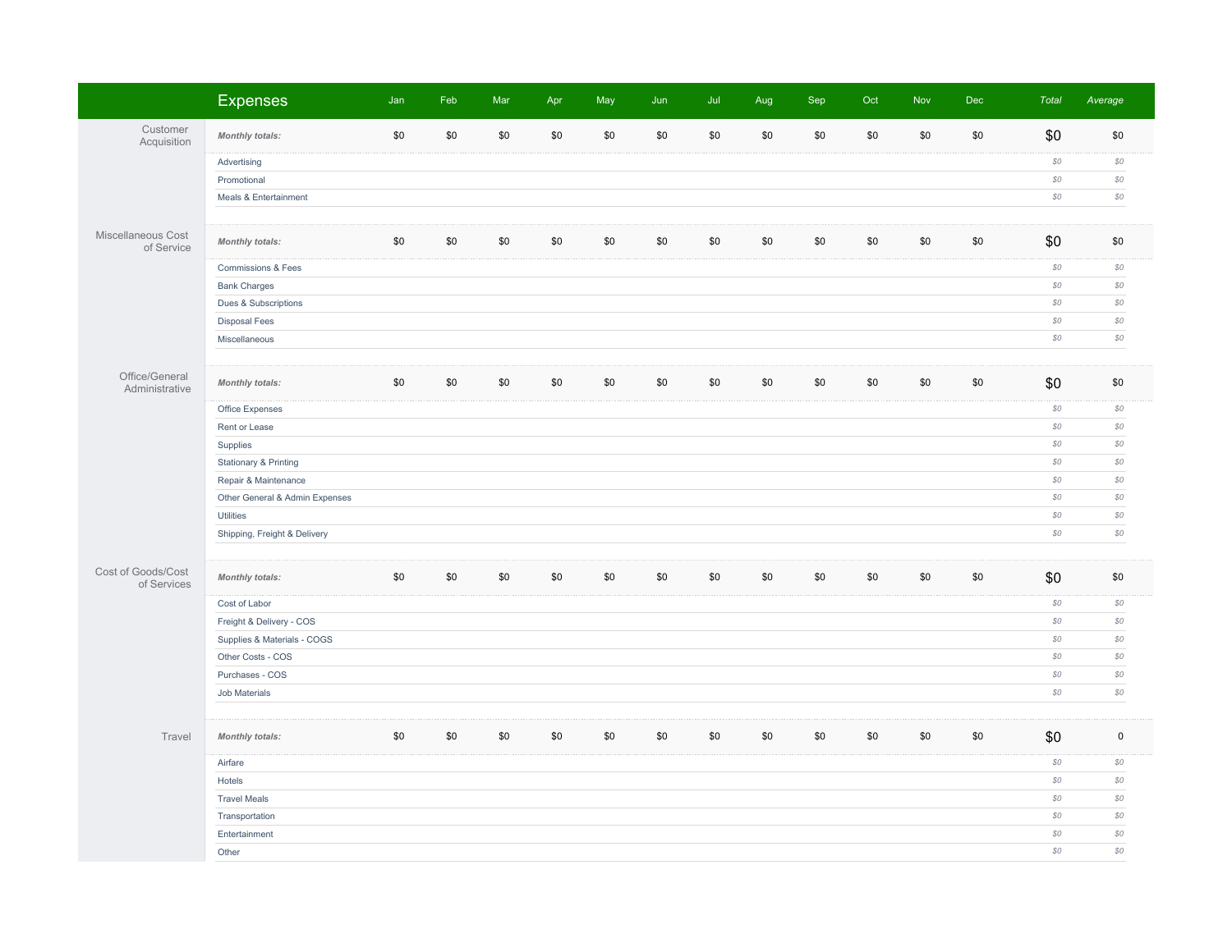|                                   | <b>Expenses</b>                  | Jan | Feb | Mar | Apr | May | Jun | Jul | Aug | Sep | Oct | Nov | Dec | <b>Total</b>   | Average        |
|-----------------------------------|----------------------------------|-----|-----|-----|-----|-----|-----|-----|-----|-----|-----|-----|-----|----------------|----------------|
| Customer<br>Acquisition           | <b>Monthly totals:</b>           | \$0 | \$0 | \$0 | \$0 | \$0 | \$0 | \$0 | \$0 | \$0 | \$0 | \$0 | \$0 | \$0            | \$0            |
|                                   | Advertising                      |     |     |     |     |     |     |     |     |     |     |     |     | $\$0$          | $\mathcal{S}O$ |
|                                   | Promotional                      |     |     |     |     |     |     |     |     |     |     |     |     | $\mathcal{S}O$ | $\mathcal{S}O$ |
|                                   | Meals & Entertainment            |     |     |     |     |     |     |     |     |     |     |     |     | $\mathcal{S}O$ | $\mathcal{S}O$ |
|                                   |                                  |     |     |     |     |     |     |     |     |     |     |     |     |                |                |
| Miscellaneous Cost<br>of Service  | <b>Monthly totals:</b>           | \$0 | \$0 | \$0 | \$0 | \$0 | \$0 | \$0 | \$0 | \$0 | \$0 | \$0 | \$0 | \$0            | \$0            |
|                                   | Commissions & Fees               |     |     |     |     |     |     |     |     |     |     |     |     | $\mathcal{S}O$ | $\mathcal{S}O$ |
|                                   | <b>Bank Charges</b>              |     |     |     |     |     |     |     |     |     |     |     |     | $\mathcal{S}O$ | SO             |
|                                   | Dues & Subscriptions             |     |     |     |     |     |     |     |     |     |     |     |     | \$0            | SO             |
|                                   | <b>Disposal Fees</b>             |     |     |     |     |     |     |     |     |     |     |     |     | $\mathcal{S}O$ | $\mathcal{S}O$ |
|                                   | Miscellaneous                    |     |     |     |     |     |     |     |     |     |     |     |     | $\$0$          | $\mathcal{S}O$ |
|                                   |                                  |     |     |     |     |     |     |     |     |     |     |     |     |                |                |
| Office/General<br>Administrative  | <b>Monthly totals:</b>           | \$0 | \$0 | \$0 | \$0 | \$0 | \$0 | \$0 | \$0 | \$0 | \$0 | \$0 | \$0 | \$0            | \$0            |
|                                   | Office Expenses                  |     |     |     |     |     |     |     |     |     |     |     |     | $\$0$          | $\mathcal{S}O$ |
|                                   | Rent or Lease                    |     |     |     |     |     |     |     |     |     |     |     |     | $\mathcal{S}O$ | $\mathcal{S}O$ |
|                                   | Supplies                         |     |     |     |     |     |     |     |     |     |     |     |     | $\mathcal{S}O$ | $\mathcal{S}O$ |
|                                   | <b>Stationary &amp; Printing</b> |     |     |     |     |     |     |     |     |     |     |     |     | $\mathcal{S}O$ | $\mathcal{S}O$ |
|                                   | Repair & Maintenance             |     |     |     |     |     |     |     |     |     |     |     |     | \$0            | SO             |
|                                   | Other General & Admin Expenses   |     |     |     |     |     |     |     |     |     |     |     |     | \$0            | SO             |
|                                   | <b>Utilities</b>                 |     |     |     |     |     |     |     |     |     |     |     |     | $\mathcal{S}O$ | $$0\,$         |
|                                   | Shipping, Freight & Delivery     |     |     |     |     |     |     |     |     |     |     |     |     | $\$0$          | $\mathcal{S}O$ |
|                                   |                                  |     |     |     |     |     |     |     |     |     |     |     |     |                |                |
| Cost of Goods/Cost<br>of Services | Monthly totals:                  | \$0 | \$0 | \$0 | \$0 | \$0 | \$0 | \$0 | \$0 | \$0 | \$0 | \$0 | \$0 | \$0            | \$0            |
|                                   | Cost of Labor                    |     |     |     |     |     |     |     |     |     |     |     |     | $\$0$          | $\mathcal{S}O$ |
|                                   | Freight & Delivery - COS         |     |     |     |     |     |     |     |     |     |     |     |     | $\mathcal{S}O$ | $\mathcal{S}O$ |
|                                   | Supplies & Materials - COGS      |     |     |     |     |     |     |     |     |     |     |     |     | $\$0$          | $\mathcal{S}O$ |
|                                   | Other Costs - COS                |     |     |     |     |     |     |     |     |     |     |     |     | $\mathcal{S}O$ | $\mathcal{S}O$ |
|                                   | Purchases - COS                  |     |     |     |     |     |     |     |     |     |     |     |     | \$0            | SO             |
|                                   | Job Materials                    |     |     |     |     |     |     |     |     |     |     |     |     | \$0            | $$0$           |
|                                   |                                  |     |     |     |     |     |     |     |     |     |     |     |     |                |                |
| Travel                            | <b>Monthly totals:</b>           | \$0 | \$0 | \$0 | \$0 | \$0 | \$0 | \$0 | \$0 | \$0 | \$0 | \$0 | \$0 | \$0            | $\mathsf 0$    |
|                                   | Airfare                          |     |     |     |     |     |     |     |     |     |     |     |     | \$0            | SO             |
|                                   | Hotels                           |     |     |     |     |     |     |     |     |     |     |     |     | $\mathcal{S}O$ | $$0\,$         |
|                                   | <b>Travel Meals</b>              |     |     |     |     |     |     |     |     |     |     |     |     | $\$0$          | $\mathcal{S}O$ |
|                                   | Transportation                   |     |     |     |     |     |     |     |     |     |     |     |     | $\$0$          | $\mathcal{S}O$ |
|                                   | Entertainment                    |     |     |     |     |     |     |     |     |     |     |     |     | $\mathcal{S}O$ | $\mathcal{S}O$ |
|                                   | Other                            |     |     |     |     |     |     |     |     |     |     |     |     | $$0$$          | SO             |